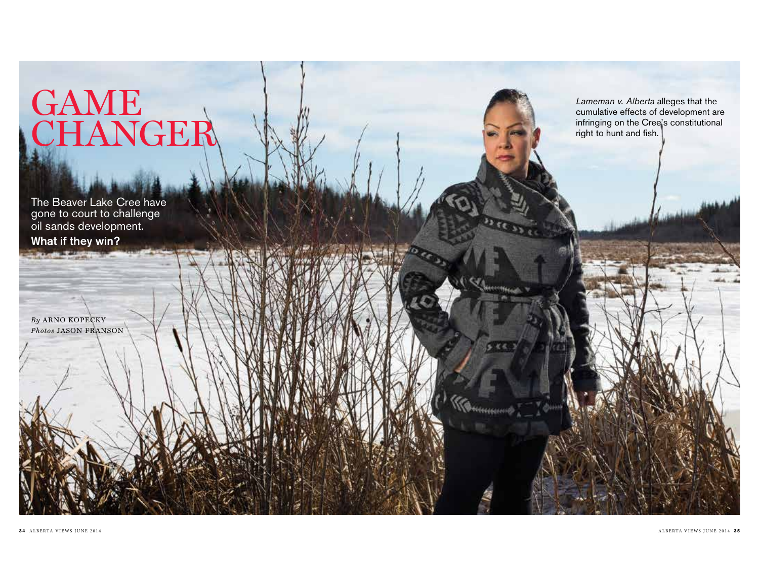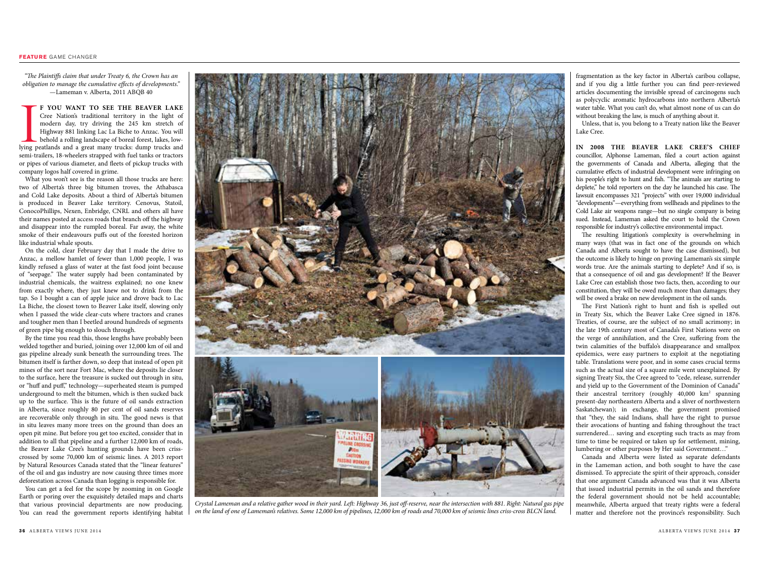*"The Plaintiffs claim that under Treaty 6, the Crown has an obligation to manage the cumulative effects of developments."*  —Lameman v. Alberta, 2011 ABQB 40

F YOU WANT TO SEE THE BEAVER LAKE<br>Cree Nation's traditional territory in the light of<br>modern day, try driving the 245 km stretch of<br>Highway 881 linking Lac La Biche to Anzac. You will<br>behold a rolling landscape of boreal f **f you want to see the Beaver Lake**  Cree Nation's traditional territory in the light of modern day, try driving the 245 km stretch of Highway 881 linking Lac La Biche to Anzac. You will behold a rolling landscape of boreal forest, lakes, lowsemi-trailers, 18-wheelers strapped with fuel tanks or tractors or pipes of various diameter, and fleets of pickup trucks with company logos half covered in grime.

What you won't see is the reason all those trucks are here: two of Alberta's three big bitumen troves, the Athabasca and Cold Lake deposits. About a third of Alberta's bitumen is produced in Beaver Lake territory. Cenovus, Statoil, ConocoPhillips, Nexen, Enbridge, CNRL and others all have their names posted at access roads that branch off the highway and disappear into the rumpled boreal. Far away, the white smoke of their endeavours puffs out of the forested horizon like industrial whale spouts.

On the cold, clear February day that I made the drive to Anzac, a mellow hamlet of fewer than 1,000 people, I was kindly refused a glass of water at the fast food joint because of "seepage." The water supply had been contaminated by industrial chemicals, the waitress explained; no one knew from exactly where, they just knew not to drink from the tap. So I bought a can of apple juice and drove back to Lac La Biche, the closest town to Beaver Lake itself, slowing only when I passed the wide clear-cuts where tractors and cranes and tougher men than I beetled around hundreds of segments of green pipe big enough to slouch through.

By the time you read this, those lengths have probably been welded together and buried, joining over 12,000 km of oil and gas pipeline already sunk beneath the surrounding trees. The bitumen itself is farther down, so deep that instead of open pit mines of the sort near Fort Mac, where the deposits lie closer to the surface, here the treasure is sucked out through in situ, or "huff and puff," technology—superheated steam is pumped underground to melt the bitumen, which is then sucked back up to the surface. This is the future of oil sands extraction in Alberta, since roughly 80 per cent of oil sands reserves are recoverable only through in situ. The good news is that in situ leaves many more trees on the ground than does an open pit mine. But before you get too excited, consider that in addition to all that pipeline and a further 12,000 km of roads, the Beaver Lake Cree's hunting grounds have been crisscrossed by some 70,000 km of seismic lines. A 2013 report by Natural Resources Canada stated that the "linear features" of the oil and gas industry are now causing three times more deforestation across Canada than logging is responsible for.

You can get a feel for the scope by zooming in on Google Earth or poring over the exquisitely detailed maps and charts that various provincial departments are now producing. You can read the government reports identifying habitat



*Crystal Lameman and a relative gather wood in their yard. Left: Highway 36, just off-reserve, near the intersection with 881. Right: Natural gas pipe on the land of one of Lameman's relatives. Some 12,000 km of pipelines, 12,000 km of roads and 70,000 km of seismic lines criss-cross BLCN land.* 

fragmentation as the key factor in Alberta's caribou collapse, and if you dig a little further you can find peer-reviewed articles documenting the invisible spread of carcinogens such as polycyclic aromatic hydrocarbons into northern Alberta's water table. What you can't do, what almost none of us can do without breaking the law, is much of anything about it.

Unless, that is, you belong to a Treaty nation like the Beaver Lake Cree.

**In 2008 the Beaver Lake Cree's ChIef**  councillor, Alphonse Lameman, filed a court action against the governments of Canada and Alberta, alleging that the cumulative effects of industrial development were infringing on his people's right to hunt and fish. "The animals are starting to deplete," he told reporters on the day he launched his case. The lawsuit encompasses 321 "projects" with over 19,000 individual "developments"—everything from wellheads and pipelines to the Cold Lake air weapons range—but no single company is being sued. Instead, Lameman asked the court to hold the Crown responsible for industry's collective environmental impact.

The resulting litigation's complexity is overwhelming in many ways (that was in fact one of the grounds on which Canada and Alberta sought to have the case dismissed), but the outcome is likely to hinge on proving Lameman's six simple words true. Are the animals starting to deplete? And if so, is that a consequence of oil and gas development? If the Beaver Lake Cree can establish those two facts, then, according to our constitution, they will be owed much more than damages; they will be owed a brake on new development in the oil sands.

The First Nation's right to hunt and fish is spelled out in Treaty Six, which the Beaver Lake Cree signed in 1876. Treaties, of course, are the subject of no small acrimony; in the late 19th century most of Canada's First Nations were on the verge of annihilation, and the Cree, suffering from the twin calamities of the buffalo's disappearance and smallpox epidemics, were easy partners to exploit at the negotiating table. Translations were poor, and in some cases crucial terms such as the actual size of a square mile went unexplained. By signing Treaty Six, the Cree agreed to "cede, release, surrender and yield up to the Government of the Dominion of Canada" their ancestral territory (roughly 40,000 km<sup>2</sup> spanning present-day northeastern Alberta and a sliver of northwestern Saskatchewan); in exchange, the government promised that "they, the said Indians, shall have the right to pursue their avocations of hunting and fishing throughout the tract surrendered… saving and excepting such tracts as may from time to time be required or taken up for settlement, mining, lumbering or other purposes by Her said Government…"

Canada and Alberta were listed as separate defendants in the Lameman action, and both sought to have the case dismissed. To appreciate the spirit of their approach, consider that one argument Canada advanced was that it was Alberta that issued industrial permits in the oil sands and therefore the federal government should not be held accountable; meanwhile, Alberta argued that treaty rights were a federal matter and therefore not the province's responsibility. Such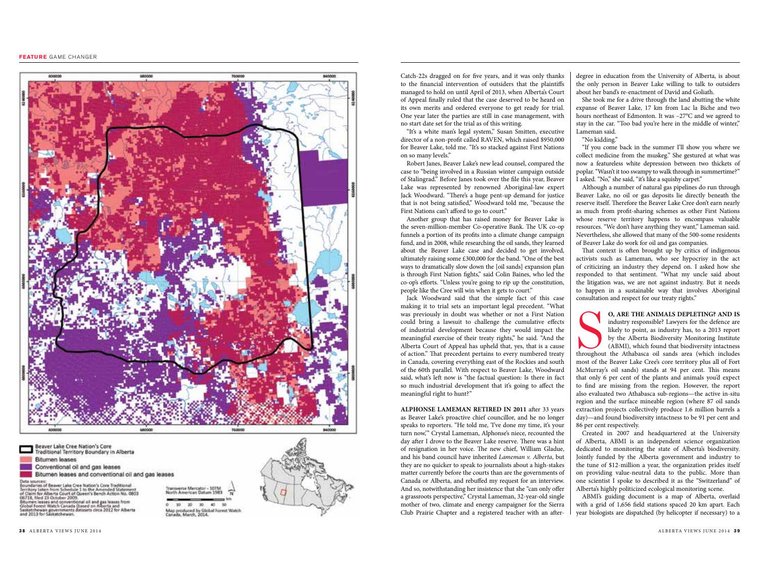## **Feature** game changer



Beaver Lake Cree Nation's Core<br>Traditional Territory Boundary in Alberta **Bitumen leases** Conventional oil and gas leases Bitumen leases and conventional oil and gas leases Data sources:<br>Boundaries of beaver Lake Cree Nation's Core Traditional<br>Boundaries of from Schedule 1 to the Amended Statement<br>of Claim for Alberta Court of Gueen's Bench Action No. 0803<br>06718, filed 23 October 2009. erse Mercator - 107M or Latin for absenta ourse, architecture in seriori account no. upo<br>06/18, filed 23 October 2009.<br>Danmer Jesses and conventional of and gas leases from<br>Gobal Forest Watch Canada (based on Alberta and<br>Satarichewan governmen 30  $40$ **lap produced by Global Forest Watch**<br>anada, March, 2014. Catch-22s dragged on for five years, and it was only thanks to the financial intervention of outsiders that the plaintiffs managed to hold on until April of 2013, when Alberta's Court of Appeal finally ruled that the case deserved to be heard on its own merits and ordered everyone to get ready for trial. One year later the parties are still in case management, with no start date set for the trial as of this writing.

"It's a white man's legal system," Susan Smitten, executive director of a non-profit called RAVEN, which raised \$950,000 for Beaver Lake, told me. "It's so stacked against First Nations on so many levels."

Robert Janes, Beaver Lake's new lead counsel, compared the case to "being involved in a Russian winter campaign outside of Stalingrad." Before Janes took over the file this year, Beaver Lake was represented by renowned Aboriginal-law expert Jack Woodward. "There's a huge pent-up demand for justice that is not being satisfied," Woodward told me, "because the First Nations can't afford to go to court."

Another group that has raised money for Beaver Lake is the seven-million-member Co-operative Bank. The UK co-op funnels a portion of its profits into a climate change campaign fund, and in 2008, while researching the oil sands, they learned about the Beaver Lake case and decided to get involved, ultimately raising some £300,000 for the band. "One of the best ways to dramatically slow down the [oil sands] expansion plan is through First Nation fights," said Colin Baines, who led the co-op's efforts. "Unless you're going to rip up the constitution, people like the Cree will win when it gets to court."

Jack Woodward said that the simple fact of this case making it to trial sets an important legal precedent. "What was previously in doubt was whether or not a First Nation could bring a lawsuit to challenge the cumulative effects of industrial development because they would impact the meaningful exercise of their treaty rights," he said. "And the Alberta Court of Appeal has upheld that, yes, that is a cause of action." That precedent pertains to every numbered treaty in Canada, covering everything east of the Rockies and south of the 60th parallel. With respect to Beaver Lake, Woodward said, what's left now is "the factual question: Is there in fact so much industrial development that it's going to affect the meaningful right to hunt?"

**ALPHONSE LAMEMAN RETIRED IN 2011 after 33 years** as Beaver Lake's proactive chief councillor, and he no longer speaks to reporters. "He told me, 'I've done my time, it's your turn now,'" Crystal Lameman, Alphonse's niece, recounted the day after I drove to the Beaver Lake reserve. There was a hint of resignation in her voice. The new chief, William Gladue, and his band council have inherited *Lameman v. Alberta*, but they are no quicker to speak to journalists about a high-stakes matter currently before the courts than are the governments of Canada or Alberta, and rebuffed my request for an interview. And so, notwithstanding her insistence that she "can only offer a grassroots perspective," Crystal Lameman, 32-year-old single mother of two, climate and energy campaigner for the Sierra Club Prairie Chapter and a registered teacher with an afterdegree in education from the University of Alberta, is about the only person in Beaver Lake willing to talk to outsiders about her band's re-enactment of David and Goliath.

She took me for a drive through the land abutting the white expanse of Beaver Lake, 17 km from Lac la Biche and two hours northeast of Edmonton. It was –27°C and we agreed to stay in the car. "Too bad you're here in the middle of winter," Lameman said.

"No kidding."

"If you come back in the summer I'll show you where we collect medicine from the muskeg." She gestured at what was now a featureless white depression between two thickets of poplar. "Wasn't it too swampy to walk through in summertime?" I asked. "No," she said, "it's like a squishy carpet."

Although a number of natural gas pipelines do run through Beaver Lake, no oil or gas deposits lie directly beneath the reserve itself. Therefore the Beaver Lake Cree don't earn nearly as much from profit-sharing schemes as other First Nations whose reserve territory happens to encompass valuable resources. "We don't have anything they want," Lameman said. Nevertheless, she allowed that many of the 500-some residents of Beaver Lake do work for oil and gas companies.

That context is often brought up by critics of indigenous activists such as Lameman, who see hypocrisy in the act of criticizing an industry they depend on. I asked how she responded to that sentiment. "What my uncle said about the litigation was, we are not against industry. But it needs to happen in a sustainable way that involves Aboriginal consultation and respect for our treaty rights."

**b**, **ARE THE ANIMALS DEPLETING? AND IS industry responsible? Lawyers for the defence are likely to point, as industry has, to a 2013 report by the Alberta Biodiversity Monitoring Institute (ABMI), which found that biodive** industry responsible? Lawyers for the defence are likely to point, as industry has, to a 2013 report by the Alberta Biodiversity Monitoring Institute (ABMI), which found that biodiversity intactness throughout the Athabasca oil sands area (which includes most of the Beaver Lake Cree's core territory plus all of Fort McMurray's oil sands) stands at 94 per cent. This means that only 6 per cent of the plants and animals you'd expect to find are missing from the region. However, the report also evaluated two Athabasca sub-regions—the active in-situ region and the surface mineable region (where 87 oil sands extraction projects collectively produce 1.6 million barrels a day)—and found biodiversity intactness to be 91 per cent and 86 per cent respectively.

Created in 2007 and headquartered at the University of Alberta, ABMI is an independent science organization dedicated to monitoring the state of Alberta's biodiversity. Jointly funded by the Alberta government and industry to the tune of \$12-million a year, the organization prides itself on providing value-neutral data to the public. More than one scientist I spoke to described it as the "Switzerland" of Alberta's highly politicized ecological monitoring scene.

ABMI's guiding document is a map of Alberta, overlaid with a grid of 1,656 field stations spaced 20 km apart. Each year biologists are dispatched (by helicopter if necessary) to a